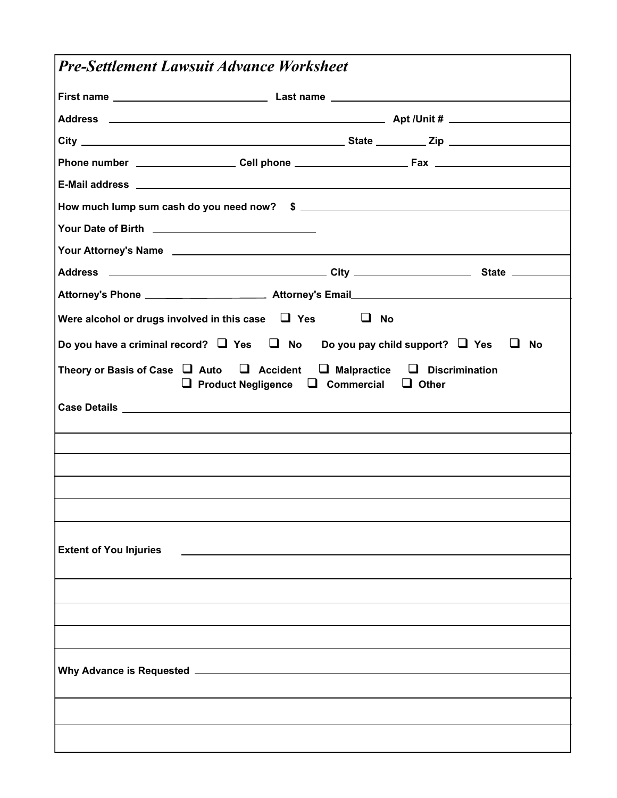| <b>Pre-Settlement Lawsuit Advance Worksheet</b>                                                                                                          |           |
|----------------------------------------------------------------------------------------------------------------------------------------------------------|-----------|
|                                                                                                                                                          |           |
|                                                                                                                                                          |           |
|                                                                                                                                                          |           |
| Phone number ______________________Cell phone ___________________________________                                                                        |           |
|                                                                                                                                                          |           |
|                                                                                                                                                          |           |
|                                                                                                                                                          |           |
|                                                                                                                                                          |           |
|                                                                                                                                                          |           |
|                                                                                                                                                          |           |
| Were alcohol or drugs involved in this case $\Box$ Yes                                                                                                   | $\Box$ No |
| Do you have a criminal record? $\Box$ Yes $\Box$ No Do you pay child support? $\Box$ Yes $\Box$ No                                                       |           |
| Theory or Basis of Case $\Box$ Auto $\Box$ Accident $\Box$ Malpractice $\Box$ Discrimination<br>$\Box$ Product Negligence $\Box$ Commercial $\Box$ Other |           |
|                                                                                                                                                          |           |
|                                                                                                                                                          |           |
|                                                                                                                                                          |           |
|                                                                                                                                                          |           |
|                                                                                                                                                          |           |
|                                                                                                                                                          |           |
| <b>Extent of You Injuries</b>                                                                                                                            |           |
|                                                                                                                                                          |           |
|                                                                                                                                                          |           |
|                                                                                                                                                          |           |
|                                                                                                                                                          |           |
|                                                                                                                                                          |           |
|                                                                                                                                                          |           |
|                                                                                                                                                          |           |
|                                                                                                                                                          |           |
|                                                                                                                                                          |           |